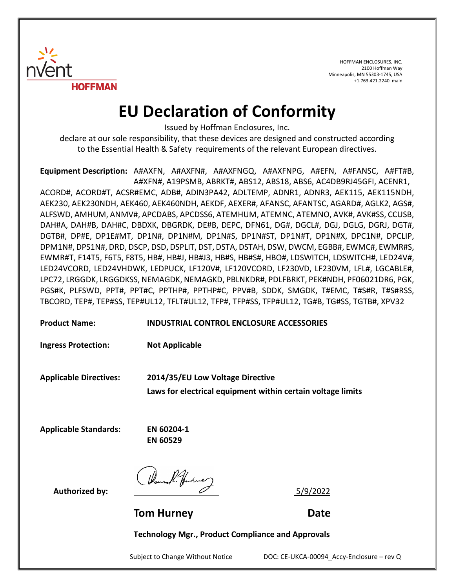

HOFFMAN ENCLOSURES, INC. 2100 Hoffman Way Minneapolis, MN 55303-1745, USA +1.763.421.2240 main

## **EU Declaration of Conformity**

Issued by Hoffman Enclosures, Inc.

declare at our sole responsibility, that these devices are designed and constructed according to the Essential Health & Safety requirements of the relevant European directives.

**Equipment Description:** A#AXFN, A#AXFN#, A#AXFNGQ, A#AXFNPG, A#EFN, A#FANSC, A#FT#B, A#XFN#, A19PSMB, ABRKT#, ABS12, ABS18, ABS6, AC4DB9RJ45GFI, ACENR1, ACORD#, ACORD#T, ACSR#EMC, ADB#, ADIN3PA42, ADLTEMP, ADNR1, ADNR3, AEK115, AEK115NDH, AEK230, AEK230NDH, AEK460, AEK460NDH, AEKDF, AEXER#, AFANSC, AFANTSC, AGARD#, AGLK2, AGS#, ALFSWD, AMHUM, ANMV#, APCDABS, APCDSS6, ATEMHUM, ATEMNC, ATEMNO, AVK#, AVK#SS, CCUSB, DAH#A, DAH#B, DAH#C, DBDXK, DBGRDK, DE#B, DEPC, DFN61, DG#, DGCL#, DGJ, DGLG, DGRJ, DGT#, DGTB#, DP#E, DP1E#MT, DP1N#, DP1N#M, DP1N#S, DP1N#ST, DP1N#T, DP1N#X, DPC1N#, DPCLIP, DPM1N#, DPS1N#, DRD, DSCP, DSD, DSPLIT, DST, DSTA, DSTAH, DSW, DWCM, EGBB#, EWMC#, EWMR#S, EWMR#T, F14T5, F6T5, F8T5, HB#, HB#J, HB#J3, HB#S, HB#S#, HBO#, LDSWITCH, LDSWITCH#, LED24V#, LED24VCORD, LED24VHDWK, LEDPUCK, LF120V#, LF120VCORD, LF230VD, LF230VM, LFL#, LGCABLE#, LPC72, LRGGDK, LRGGDKSS, NEMAGDK, NEMAGKD, PBLNKDR#, PDLFBRKT, PEK#NDH, PF06021DR6, PGK, PGS#K, PLFSWD, PPT#, PPT#C, PPTHP#, PPTHP#C, PPV#B, SDDK, SMGDK, T#EMC, T#S#R, T#S#RSS, TBCORD, TEP#, TEP#SS, TEP#UL12, TFLT#UL12, TFP#, TFP#SS, TFP#UL12, TG#B, TG#SS, TGTB#, XPV32

**Product Name: INDUSTRIAL CONTROL ENCLOSURE ACCESSORIES**

**Ingress Protection: Not Applicable**

**Applicable Directives: 2014/35/EU Low Voltage Directive**

**Laws for electrical equipment within certain voltage limits**

**Applicable Standards: EN 60204-1**

**EN 60529**

Authorized by:  $\left( \sqrt{\frac{2}{f} + \frac{1}{f}} \right)$ 

**Tom Hurney Communication Communication Communication Communication Communication Communication Communication Communication Communication Communication Communication Communication Communication Communication Communication** 

**Technology Mgr., Product Compliance and Approvals**

Subject to Change Without Notice **DOC: CE-UKCA-00094** Accy-Enclosure – rev Q